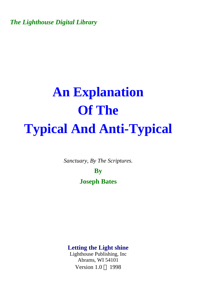*The Lighthouse Digital Library* 

# **An Explanation Of The Typical And Anti-Typical**

*Sanctuary, By The Scriptures.* 

**By Joseph Bates** 

**Letting the Light shine** 

Lighthouse Publishing, Inc Abrams, WI 54101 Version  $1.0 \odot 1998$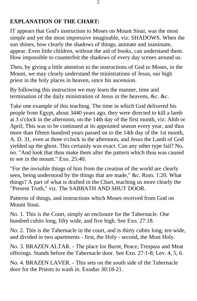## **EXPLANATION OF THE CHART:**

IT appears that God's instruction to Moses on Mount Sinai, was the most simple and yet the most impressive imaginable, viz: SHADOWS. When the sun shines, how clearly the shadows of things, animate and inanimate, appear. Even little children, without the aid of books, can understand them. How impossible to counterfeit the shadows of every day scenes around us.

Then, by giving a little attention to the instructions of God to Moses, in the Mount, we may clearly understand the ministrations of Jesus, our high priest in the holy places in heaven, since his ascension.

By following this instruction we may learn the manner, time and termination of the daily ministration of Jesus in the heavens, &c. &c.

Take one example of this teaching. The time in which God delivered his people from Egypt, about 3440 years ago, they were directed to kill a lamb at 3 o'clock in the afternoon, on the 14th day of the first month, viz: Abib or April; This was to be continued at its appointed season every year, and thus more than fifteen hundred years passed on to the 14th day of the 1st month, A. D. 31, even at three o'clock in the afternoon, and Jesus the Lamb of God yielded up the ghost. This certainly was exact. Can any other type fail? No, no. "And look that thou make them after the pattern which thou was caused to see in the mount." Exo. 25:40.

"For the invisible things of him from the creation of the world are clearly seen, being understood by the things that are made," &c. Rom. 1:20. What things? A part of what is drafted in the Chart, teaching us more clearly the "Present Truth," viz. The SABBATH AND SHUT DOOR.

Patterns of things, and instructions which Moses received from God on Mount Sinai.

No. 1. This is the Court, simply an enclosure for the Tabernacle. One hundred cubits long, fifty wide, and five high. See Exo. 27:18.

No. 2. This is the Tabernacle in the court, and is thirty cubits long, ten wide, and divided in two apartments - first, the Holy - second, the Most Holy.

No. 3. BRAZEN ALTAR. - The place for Burnt, Peace, Trespass and Meat offerings. Stands before the Tabernacle door. See Exo. 27:1-8; Lev. 4, 5, 6.

No. 4. BRAZEN LAVER. - This sets on the south side of the Tabernacle door for the Priests to wash in. Exodus 30:18-21.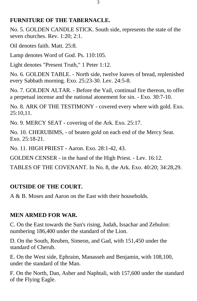#### **FURNITURE OF THE TABERNACLE.**

No. 5. GOLDEN CANDLE STICK. South side, represents the state of the seven churches. Rev. 1:20; 2:1.

Oil denotes faith. Matt. 25:8.

Lamp denotes Word of God. Ps. 110:105.

Light denotes "Present Truth," 1 Peter 1:12.

No. 6. GOLDEN TABLE. - North side, twelve loaves of bread, replenished every Sabbath morning. Exo. 25:23-30. Lev. 24:5-8.

No. 7. GOLDEN ALTAR. - Before the Vail, continual fire thereon, to offer a perpetual incense and the national atonement for sin. - Exo. 30:7-10.

No. 8. ARK OF THE TESTIMONY - covered every where with gold. Exo. 25:10,11.

No. 9. MERCY SEAT - covering of the Ark. Exo. 25:17.

No. 10. CHERUBIMS, - of beaten gold on each end of the Mercy Seat. Exo. 25:18-21.

No. 11. HIGH PRIEST - Aaron. Exo. 28:1-42, 43.

GOLDEN CENSER - in the hand of the High Priest. - Lev. 16:12.

TABLES OF THE COVENANT. In No. 8, the Ark. Exo. 40:20; 34:28,29.

# **OUTSIDE OF THE COURT.**

A & B. Moses and Aaron on the East with their households.

# **MEN ARMED FOR WAR.**

C. On the East towards the Sun's rising, Judah, Issachar and Zebulon: numbering 186,400 under the standard of the Lion.

D. On the South, Reuben, Simeon, and Gad, with 151,450 under the standard of Cherub.

E. On the West side, Ephraim, Manasseh and Benjamin, with 108,100, under the standard of the Man.

F. On the North, Dan, Asher and Naphtali, with 157,600 under the standard of the Flying Eagle.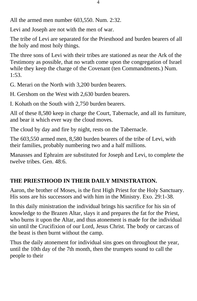All the armed men number 603,550. Num. 2:32.

Levi and Joseph are not with the men of war.

The tribe of Levi are separated for the Priesthood and burden bearers of all the holy and most holy things.

The three sons of Levi with their tribes are stationed as near the Ark of the Testimony as possible, that no wrath come upon the congregation of Israel while they keep the charge of the Covenant (ten Commandments.) Num. 1:53.

G. Merari on the North with 3,200 burden bearers.

H. Gershom on the West with 2,630 burden bearers.

I. Kohath on the South with 2,750 burden bearers.

All of these 8,580 keep in charge the Court, Tabernacle, and all its furniture, and bear it which ever way the cloud moves.

The cloud by day and fire by night, rests on the Tabernacle.

The 603,550 armed men, 8,580 burden bearers of the tribe of Levi, with their families, probably numbering two and a half millions.

Manasses and Ephraim are substituted for Joseph and Levi, to complete the twelve tribes. Gen. 48:6.

# **THE PRIESTHOOD IN THEIR DAILY MINISTRATION.**

Aaron, the brother of Moses, is the first High Priest for the Holy Sanctuary. His sons are his successors and with him in the Ministry. Exo. 29:1-38.

In this daily ministration the individual brings his sacrifice for his sin of knowledge to the Brazen Altar, slays it and prepares the fat for the Priest, who burns it upon the Altar, and thus atonement is made for the individual sin until the Crucifixion of our Lord, Jesus Christ. The body or carcass of the beast is then burnt without the camp.

Thus the daily atonement for individual sins goes on throughout the year, until the 10th day of the 7th month, then the trumpets sound to call the people to their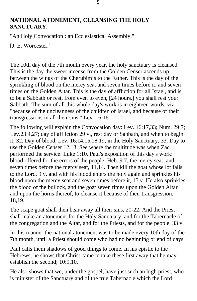#### **NATIONAL ATONEMENT, CLEANSING THE HOLY SANCTUARY.**

"An Holy Convocation : an Ecclesiastical Assembly."

[J. E. Worcester.]

The 10th day of the 7th month every year, the holy sanctuary is cleansed. This is the day the sweet incense from the Golden Censer ascends up between the wings of the Cherubim's to the Father. This is the day of the sprinkling of blood on the mercy seat and seven times before it, and seven times on the Golden Altar. This is the day of affliction for all Israel, and is to be a Sabbath or rest, from even to even, [24 hours.] you shall rest your Sabbath. The sum of all this whole day's work is in eighteen words, viz. "because of the uncleanness of the children of Israel, and because of their transgressions in all their sins." Lev. 16:16.

The following will explain the Convocation day: Lev. 16:17,33; Num. 29:7; Lev.23:4,27; day of affliction 29 v., rest day or Sabbath, and when to begin it, 32. Day of blood, Lev. 16:14,15,18,19, in the Holy Sanctuary, 33. Day to use the Golden Censer 12,13. See where the multitude was when Zac. performed the service: Luke 1:10. Paul's exposition of this day's work: blood offered for the errors of the people. Heb. 9:7, the mercy seat, and seven times before the mercy seat, 11,14. Then kill the goat whose lot falls to the Lord, 9 v. and with his blood enters the holy again and sprinkles his blood upon the mercy seat and seven times before it, 15 v. He also sprinkles the blood of the bullock, and the goat seven times upon the Golden Altar and upon the horns thereof, to cleanse it because of their transgression, 18,19.

The scape goat shall then bear away all their sins, 20-22. And the Priest shall make an atonement for the Holy Sanctuary, and for the Tabernacle of the congregation and the Altar, and for the Priests, and for the people, 33 v.

In this manner the national atonement was to be made every 10th day of the 7th month, until a Priest should come who had no beginning or end of days.

Paul calls them shadows of good things to come. In his epistle to the Hebrews, he shows that Christ came to take these first away that he may establish the second; 10:9,10.

He also shows that we, under the gospel, have just such an high priest, who is minister of the Sanctuary and of the true Tabernacle which the Lord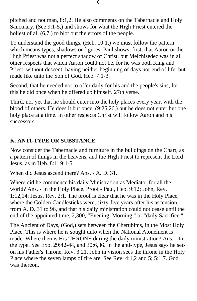pitched and not man, 8:1,2. He also comments on the Tabernacle and Holy Sanctuary, (See 9:1-5,) and shows for what the High Priest entered the holiest of all  $(6,7)$ , to blot out the errors of the people.

To understand the good things, (Heb. 10:1,) we must follow the pattern which means types, shadows or figures. Paul shows, first, that Aaron or the High Priest was not a perfect shadow of Christ, but Melchisedec was in all other respects that which Aaron could not be, for he was both King and Priest, without descent, having neither beginning of days nor end of life, but made like unto the Son of God. Heb. 7:1-3.

Second, that he needed not to offer daily for his and the people's sins, for this he did once when he offered up himself. 27th verse.

Third, nor yet that he should enter into the holy places every year, with the blood of others. He does it but once, (9:25,26,) but he does not enter but one holy place at a time. In other respects Christ will follow Aaron and his successors.

# **K. ANTI-TYPE OR SUBSTANCE.**

Now consider the Tabernacle and furniture in the buildings on the Chart, as a pattern of things in the heavens, and the High Priest to represent the Lord Jesus, as in Heb. 8:1; 9:1-5.

When did Jesus ascend there? Ans. - A. D. 31.

Where did he commence his daily Ministration as Mediator for all the world? Ans. - In the Holy Place. Proof - Paul, Heb. 9:12; John, Rev. 1:12,14; Jesus, Rev. 2:1. The proof is clear that he was in the Holy Place, where the Golden Candlesticks were, sixty-five years after his ascension, from A. D. 31 to 96, and that his daily ministration could not cease until the end of the appointed time, 2,300, "Evening, Morning," or "daily Sacrifice."

The Ancient of Days, (God,) sets between the Cherubims, in the Most Holy Place. This is where he is sought unto when the National Atonement is made. Where then is His THRONE during the daily ministration? Ans. - In the type. See Exo. 29:42-44, and 30:6,36. In the anti-type, Jesus says he sets on his Father's Throne, Rev. 3:21. John in vision sees the throne in the Holy Place where the seven lamps of fire are. See Rev. 4:1,2 and 5; 5:1,7. God was thereon.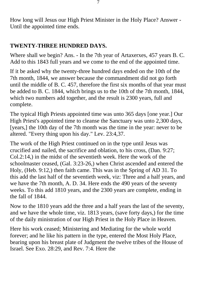How long will Jesus our High Priest Minister in the Holy Place? Answer - Until the appointed time ends.

## **TWENTY-THREE HUNDRED DAYS.**

Where shall we begin? Ans. - In the 7th year of Artaxerxes, 457 years B. C. Add to this 1843 full years and we come to the end of the appointed time.

If it be asked why the twenty-three hundred days ended on the 10th of the 7th month, 1844, we answer because the commandment did not go forth until the middle of B. C. 457, therefore the first six months of that year must be added to B. C. 1844, which brings us to the 10th of the 7th month, 1844, which two numbers add together, and the result is 2300 years, full and complete.

The typical High Priests appointed time was unto 365 days [one year.] Our High Priest's appointed time to cleanse the Sanctuary was unto 2,300 days, [years,] the 10th day of the 7th month was the time in the year: never to be altered. "Every thing upon his day." Lev. 23:4,37.

The work of the High Priest continued on in the type until Jesus was crucified and nailed, the sacrifice and oblation, to his cross, (Dan. 9:27; Col.2:14,) in the midst of the seventieth week. Here the work of the schoolmaster ceased, (Gal. 3:23-26,) when Christ ascended and entered the Holy, (Heb. 9:12,) then faith came. This was in the Spring of AD 31. To this add the last half of the seventieth week, viz: Three and a half years, and we have the 7th month, A. D. 34. Here ends the 490 years of the seventy weeks. To this add 1810 years, and the 2300 years are complete, ending in the fall of 1844.

Now to the 1810 years add the three and a half years the last of the seventy, and we have the whole time, viz. 1813 years, (save forty days,) for the time of the daily ministration of our High Priest in the Holy Place in Heaven.

Here his work ceased; Ministering and Mediating for the whole world forever; and he like his pattern in the type, entered the Most Holy Place, bearing upon his breast plate of Judgment the twelve tribes of the House of Israel. See Exo. 28:29, and Rev. 7:4. Here the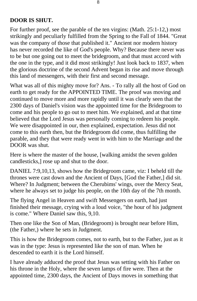#### **DOOR IS SHUT.**

For further proof, see the parable of the ten virgins: (Math. 25:1-12,) most strikingly and peculiarly fulfilled from the Spring to the Fall of 1844. "Great was the company of those that published it." Ancient nor modern history has never recorded the like of God's people. Why? Because there never was to be but one going out to meet the bridegroom, and that must accord with the one in the type, and it did most strikingly! Just look back to 1837, when the glorious doctrine of the second Advent began its rise and move through this land of messengers, with their first and second message.

What was all of this mighty move for? Ans. - To rally all the host of God on earth to get ready for the APPOINTED TIME. The proof was moving and continued to move more and more rapidly until it was clearly seen that the 2300 days of Daniel's vision was the appointed time for the Bridegroom to come and his people to go out to meet him. We explained, and at that time believed that the Lord Jesus was personally coming to redeem his people. We were disappointed in our, then explained, expectation. Jesus did not come to this earth then, but the Bridegroom did come, thus fulfilling the parable, and they that were ready went in with him to the Marriage and the DOOR was shut.

Here is where the master of the house, [walking amidst the seven golden candlesticks,] rose up and shut to the door.

DANIEL 7:9,10,13, shows how the Bridegroom came, viz: I beheld till the thrones were cast down and the Ancient of Days, [God the Father,] did sit. Where? In Judgment; between the Cherubims' wings, over the Mercy Seat, where he always set to judge his people, on the 10th day of the 7th month.

The flying Angel in Heaven and swift Messengers on earth, had just finished their message, crying with a loud voice, "the hour of his judgment is come." Where Daniel saw this, 9,10.

Then one like the Son of Man, (Bridegroom) is brought near before Him, (the Father,) where he sets in Judgment.

This is how the Bridegroom comes, not to earth, but to the Father, just as it was in the type: Jesus is represented like the son of man. When he descended to earth it is the Lord himself.

I have already adduced the proof that Jesus was setting with his Father on his throne in the Holy, where the seven lamps of fire were. Then at the appointed time, 2300 days, the Ancient of Days moves in something that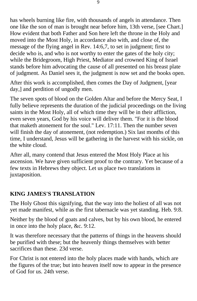has wheels burning like fire, with thousands of angels in attendance. Then one like the son of man is brought near before him, 13th verse, [see Chart.] How evident that both Father and Son here left the throne in the Holy and moved into the Most Holy, in accordance also with, and close of, the message of the flying angel in Rev. 14:6,7, to set in judgment; first to decide who is, and who is not worthy to enter the gates of the holy city; while the Bridegroom, High Priest, Mediator and crowned King of Israel stands before him advocating the cause of all presented on his breast plate of judgment. As Daniel sees it, the judgment is now set and the books open.

After this work is accomplished, then comes the Day of Judgment, [year day,] and perdition of ungodly men.

The seven spots of blood on the Golden Altar and before the Mercy Seat, I fully believe represents the duration of the judicial proceedings on the living saints in the Most Holy, all of which time they will be in their affliction, even seven years, God by his voice will deliver them. "For it is the blood that maketh atonement for the soul." Lev. 17:11. Then the number seven will finish the day of atonement, (not redemption.) Six last months of this time, I understand, Jesus will be gathering in the harvest with his sickle, on the white cloud.

After all, many contend that Jesus entered the Most Holy Place at his ascension. We have given sufficient proof to the contrary. Yet because of a few texts in Hebrews they object. Let us place two translations in juxtaposition.

## **KING JAMES'S TRANSLATION**

The Holy Ghost this signifying, that the way into the holiest of all was not yet made manifest, while as the first tabernacle was yet standing. Heb. 9:8.

Neither by the blood of goats and calves, but by his own blood, he entered in once into the holy place, &c. 9:12.

It was therefore necessary that the patterns of things in the heavens should be purified with these; but the heavenly things themselves with better sacrifices than these. 23d verse.

For Christ is not entered into the holy places made with hands, which are the figures of the true; but into heaven itself now to appear in the presence of God for us. 24th verse.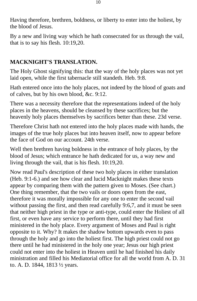Having therefore, brethren, boldness, or liberty to enter into the holiest, by the blood of Jesus.

By a new and living way which he hath consecrated for us through the vail, that is to say his flesh. 10:19,20.

## **MACKNIGHT'S TRANSLATION.**

The Holy Ghost signifying this: that the way of the holy places was not yet laid open, while the first tabernacle still standeth. Heb. 9:8.

Hath entered once into the holy places, not indeed by the blood of goats and of calves, but by his own blood, &c. 9:12.

There was a necessity therefore that the representations indeed of the holy places in the heavens, should be cleansed by these sacrifices; but the heavenly holy places themselves by sacrifices better than these. 23d verse.

Therefore Christ hath not entered into the holy places made with hands, the images of the true holy places but into heaven itself, now to appear before the face of God on our account. 24th verse.

Well then brethren having boldness in the entrance of holy places, by the blood of Jesus; which entrance he hath dedicated for us, a way new and living through the vail, that is his flesh. 10:19,20.

Now read Paul's description of these two holy places in either translation (Heb. 9:1-6.) and see how clear and lucid Macknight makes these texts appear by comparing them with the pattern given to Moses. (See chart.) One thing remember, that the two vails or doors open from the east, therefore it was morally impossible for any one to enter the second vail without passing the first, and then read carefully 9:6,7, and it must be seen that neither high priest in the type or anti-type, could enter the Holiest of all first, or even have any service to perform there, until they had first ministered in the holy place. Every argument of Moses and Paul is right opposite to it. Why? It makes the shadow bottom upwards even to pass through the holy and go into the holiest first. The high priest could not go there until he had ministered in the holy one year; Jesus our high priest could not enter into the holiest in Heaven until he had finished his daily ministration and filled his Mediatorial office for all the world from A. D. 31 to. A. D. 1844, 1813 ½ years.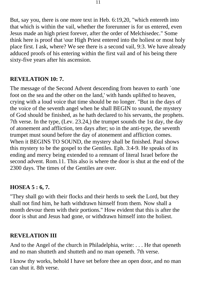But, say you, there is one more text in Heb. 6:19,20, "which entereth into that which is within the vail, whether the forerunner is for us entered, even Jesus made an high priest forever, after the order of Melchisedec." Some think here is proof that \our High Priest entered into the holiest or most holy place first. I ask, where? We see there is a second vail, 9:3. We have already adduced proofs of his entering within the first vail and of his being there sixty-five years after his ascension.

#### **REVELATION 10: 7.**

The message of the Second Advent descending from heaven to earth `one foot on the sea and the other on the land,' with hands uplifted to heaven, crying with a loud voice that time should be no longer. "But in the days of the voice of the seventh angel when he shall BEGIN to sound, the mystery of God should be finished, as he hath declared to his servants, the prophets. 7th verse. In the type, (Lev. 23.24,) the trumpet sounds the 1st day, the day of atonement and affliction, ten days after; so in the anti-type, the seventh trumpet must sound before the day of atonement and affliction comes. When it BEGINS TO SOUND, the mystery shall be finished. Paul shows this mystery to be the gospel to the Gentiles. Eph. 3:4-9. He speaks of its ending and mercy being extended to a remnant of literal Israel before the second advent. Rom.11. This also is where the door is shut at the end of the 2300 days. The times of the Gentiles are over.

#### **HOSEA 5 : 6, 7.**

"They shall go with their flocks and their herds to seek the Lord, but they shall not find him, he hath withdrawn himself from them. Now shall a month devour them with their portions." How evident that this is after the door is shut and Jesus had gone, or withdrawn himself into the holiest.

#### **REVELATION III**

And to the Angel of the church in Philadelphia, write: . . . He that openeth and no man shutteth and shutteth and no man openeth. 7th verse.

I know thy works, behold I have set before thee an open door, and no man can shut it. 8th verse.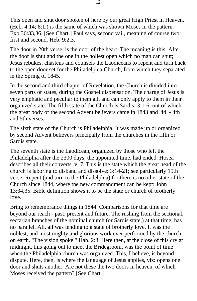This open and shut door spoken of here by our great High Priest in Heaven, (Heb. 4:14; 8:1.) is the same of which was shown Moses in the pattern. Exo.36:33,36. [See Chart.] Paul says, second vail, meaning of course two: first and second. Heb. 9:2,3.

The door in 20th verse, is the door of the heart. The meaning is this: After the door is shut and the one in the holiest open which no man can shut; Jesus rebukes, chastens and counsels the Laodiceans to repent and turn back to the open door set for the Philadelphia Church, from which they separated in the Spring of 1845.

In the second and third chapter of Revelation, the Church is divided into seven parts or states, during the Gospel dispensation. The charge of Jesus is very emphatic and peculiar to them all, and can only apply to them in their organized state. The fifth state of the Church is Sardis: 3:1-6; out of which the great body of the second Advent believers came in 1843 and '44. - 4th and 5th verses.

The sixth state of the Church is Philadelphia. It was made up or organized by second Advent believers principally from the churches in the fifth or Sardis state.

The seventh state is the Laodicean, organized by those who left the Philadelphia after the 2300 days, the appointed time, had ended. Hosea describes all their converts, v. 7. This is the state which the great head of the church is laboring to disband and dissolve: 3:14-21; see particularly 19th verse. Repent (and turn to the Philadelphia) for there is no other state of the Church since 1844, where the new commandment can be kept: John 13:34,35. Bible definition shows it to be the state or church of brotherly love.

Bring to remembrance things in 1844. Comparisons for that time are beyond our reach - past, present and future. The rushing from the sectional, sectarian branches of the nominal church (or Sardis state,) at that time, has no parallel. All, all was tending to a state of brotherly love. It was the noblest, and most mighty and glorious work ever performed by the church on earth. "The vision spoke." Hab. 2:3. Here then, at the close of this cry at midnight, this going out to meet the Bridegroom, was the point of time when the Philadelphia church was organized. This, I believe, is beyond dispute. Here, then, is where the language of Jesus applies, viz: opens one door and shuts another. Are not these the two doors in heaven, of which Moses received the pattern? [See Chart.]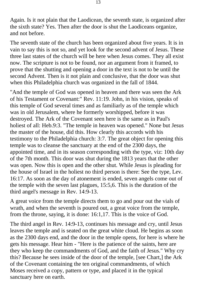Again. Is it not plain that the Laodicean, the seventh state, is organized after the sixth state? Yes. Then after the door is shut the Laodiceans organize, and not before.

The seventh state of the church has been organized about five years. It is in vain to say this is not so, and yet look for the second advent of Jesus. These three last states of the church will be here when Jesus comes. They all exist now. The scripture is not to be found, nor an argument from it framed, to prove that the shutting and opening a door in the text is not to be until the second Advent. Then is it not plain and conclusive, that the door was shut when this Philadelphia church was organized in the fall of 1844.

"And the temple of God was opened in heaven and there was seen the Ark of his Testament or Covenant:" Rev. 11:19. John, in his vision, speaks of this temple of God several times and as familiarly as of the temple which was in old Jerusalem, where he formerly worshipped, before it was destroyed. The Ark of the Covenant seen here is the same as in Paul's holiest of all: Heb.9:3. "The temple in heaven was opened." None but Jesus the master of the house, did this. How clearly this accords with his testimony to the Philadelphia church: 3:7. The great object for opening this temple was to cleanse the sanctuary at the end of the 2300 days, the appointed time, and in its season corresponding with the type, viz: 10th day of the 7th month. This door was shut during the 1813 years that the other was open. Now this is open and the other shut. While Jesus is pleading for the house of Israel in the holiest no third person is there: See the type, Lev. 16:17. As soon as the day of atonement is ended, seven angels come out of the temple with the seven last plagues, 15:5,6. This is the duration of the third angel's message in Rev. 14:9-13.

A great voice from the temple directs them to go and pour out the vials of wrath, and when the seventh is poured out, a great voice from the temple, from the throne, saying, it is done: 16:1,17. This is the voice of God.

The third angel in Rev. 14:9-13, continues his message and cry, until Jesus leaves the temple and is seated on the great white cloud. He begins as soon as the 2300 days end, and the door in the temple opens, for here is where he gets his message. Hear him - "Here is the patience of the saints, here are they who keep the commandments of God, and the faith of Jesus." Why cry this? Because he sees inside of the door of the temple, [see Chart,] the Ark of the Covenant containing the ten original commandments, of which Moses received a copy, pattern or type, and placed it in the typical sanctuary here on earth.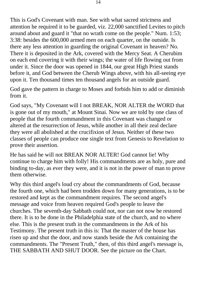This is God's Covenant with man. See with what sacred strictness and attention he required it to be guarded, viz. 22,000 sanctified Levites to pitch around about and guard it "that no wrath come on the people." Num. 1:53; 3:38: besides the 600,000 armed men on each quarter, on the outside. Is there any less attention in guarding the original Covenant in heaven? No. There it is deposited in the Ark, covered with the Mercy Seat. A Cherubim on each end covering it with their wings; the water of life flowing out from under it. Since the door was opened in 1844, our great High Priest stands before it, and God between the Cherub Wings above, with his all-seeing eye upon it. Ten thousand times ten thousand angels for an outside guard.

God gave the pattern in charge to Moses and forbids him to add or diminish from it.

God says, "My Covenant will I not BREAK, NOR ALTER the WORD that is gone out of my mouth," at Mount Sinai. Now we are told by one class of people that the fourth commandment in this Covenant was changed or altered at the resurrection of Jesus, while another in all their zeal declare they were all abolished at the crucifixion of Jesus. Neither of these two classes of people can produce one single text from Genesis to Revelation to prove their assertion.

He has said he will not BREAK NOR ALTER! God cannot lie! Why continue to charge him with folly! His commandments are as holy, pure and binding to-day, as ever they were, and it is not in the power of man to prove them otherwise.

Why this third angel's loud cry about the commandments of God, because the fourth one, which had been trodden down for many generations, is to be restored and kept as the commandment requires. The second angel's message and voice from heaven required God's people to leave the churches. The seventh-day Sabbath could not, nor can not now be restored there. It is to be done in the Philadelphia state of the church, and no where else. This is the present truth in the commandments in the Ark of his Testimony. The present truth in this is: That the master of the house has risen up and shut the door, and now stands beside the Ark containing the commandments. The "Present Truth," then, of this third angel's message is, THE SABBATH AND SHUT DOOR. See the picture on the Chart.